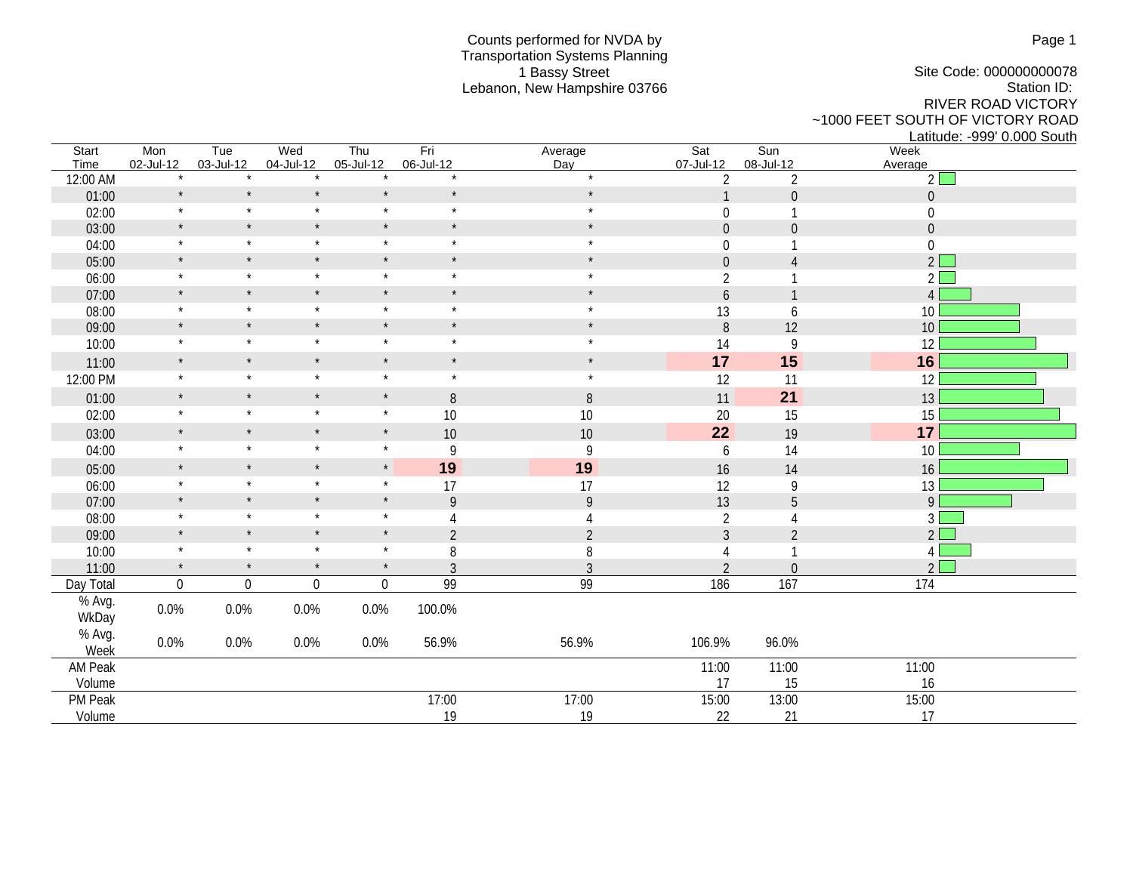## Counts performed for NVDA by Transportation Systems Planning 1 Bassy Street Lebanon, New Hampshire 03766

Site Code: 000000000078 Station ID: RIVER ROAD VICTORY ~1000 FEET SOUTH OF VICTORY ROAD

Latitude: -999' 0.000 South<br>Week Start Mon Tue Wed Thu Fri Average Sat Sun Week Time 02-Jul-12 03-Jul-12 04-Jul-12 05-Jul-12 06-Jul-12 Day 07-Jul-12 08-Jul-12 Average 12:00 AM  $\qquad \qquad *$   $\qquad \qquad *$   $\qquad \qquad *$   $\qquad \qquad *$   $\qquad \qquad *$   $\qquad \qquad *$   $\qquad \qquad \qquad *$   $\qquad \qquad 2$   $\qquad \qquad 2$ 01:00  $\sim$  \* \* \* \* \* \* \* \* \* \* \* \* \* 1 0  $\sim$  0  $02:00$  \* \* \* \* \* \* \* \* \* \* \* \* 0 1 0  $\begin{array}{ccccccccccc} 03:00 & & & * & & * & & * & & * & & * & & * & & & 0 & & 0 & & & & 0 \end{array}$ 04:00 \* \* \* \* \* \* 0 1 0 05:00 \* \* \* \* \* \* \* \* \* \* \* \* \* 0 4 2 06:00 \* \* \* \* \* \* \* \* \* \* \* \* \* \* \* 2 1 2 2 07:00 \* \* \* \* \* \* \* \* \* \* \* \* \* \* 6 1 4 08:00 \* \* \* \* \* \* \* \* \* \* \* \* \* \* 13 6 10 09:00 \* \* \* \* \* \* \* \* \* \* \* \* \* \* \* 8 12 10 10:00 \* \* \* \* \* \* 14 9 12 11:00 \* \* \* \* \* \* **17 15 16** 12:00 PM \* \* \* \* \* \* \* \* \* \* \* \* \* 12 11 12 12 01:00 \* \* \* \* \* 8 8 8 11 **21** 13 02:00 \* \* \* \* 10 10 10 20 15 15 03:00 **\* \* \* \* \* 10** 10 10 **22** 19 17 04:00 \* \* \* \* \* \* 9 9 9 9 6 14 10 05:00 **\* \* \* \* 19 19 19** 16 16 14 16 06:00 \* \* \* \* \* \* 17 17 12 9 13 07:00 \* \* \* \* \* \* 9 9 9 9 13 5 9 08:00 \* \* \* \* 4 4 2 4 3 09:00 \* \* \* \* \* \* 2 2 2 3 2 2 2  $10:00$  \* \* \* \* \* 8 8 8 4 1 4 11:00  $\frac{1}{2}$   $\frac{1}{2}$   $\frac{1}{2}$   $\frac{1}{2}$   $\frac{1}{2}$   $\frac{1}{2}$   $\frac{1}{2}$   $\frac{1}{2}$   $\frac{1}{2}$   $\frac{1}{2}$   $\frac{1}{2}$   $\frac{1}{2}$   $\frac{1}{2}$   $\frac{1}{2}$   $\frac{1}{2}$   $\frac{1}{2}$   $\frac{1}{2}$   $\frac{1}{2}$   $\frac{1}{2}$   $\frac{1}{2}$   $\frac{1}{2}$   $\frac{1$ Day Total 0 0 0 0 99 99 186 167 174 % Avg. WkDay 0.0% 0.0% 0.0% 0.0% 100.0% % Avg.<br>Week Week 0.0% 0.0% 0.0% 0.0% 56.9% 56.9% 106.9% 96.0% AM Peak 2008 2011:00 2012 2020 2031:00 2020 2031:00 2031:00 2031:00 2031:00 2031:00 2031:00 2031:00 Volume 17 15 16 PM Peak 17:00 15:00 16:00 17:00 17:00 17:00 15:00 13:00 13:00 15:00 Volume 19 19 22 21 17

Page 1